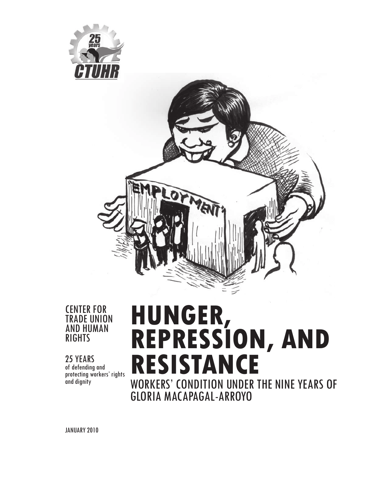



### CENTER FOR TRADE UNION AND HUMAN RIGHTS

25 YEARS of defending and protecting workers' rights and dignity

# **HUNGER, REPRESSION, AND RESISTANCE** WORKERS' CONDITION UNDER THE NINE YEARS OF GLORIA MACAPAGAL-ARROYO

JANUARY 2010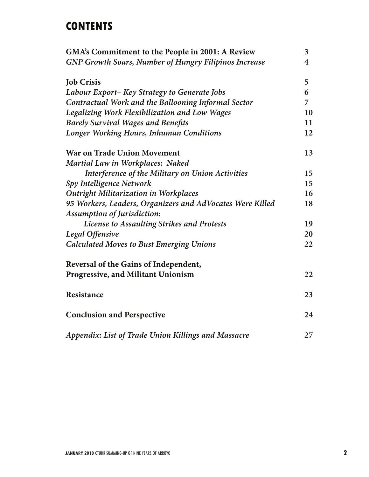# **CONTENTS**

| GMA's Commitment to the People in 2001: A Review             | 3                       |
|--------------------------------------------------------------|-------------------------|
| <b>GNP Growth Soars, Number of Hungry Filipinos Increase</b> | $\overline{\mathbf{4}}$ |
| <b>Job Crisis</b>                                            | 5                       |
| Labour Export- Key Strategy to Generate Jobs                 | 6                       |
| Contractual Work and the Ballooning Informal Sector          | 7                       |
| Legalizing Work Flexibilization and Low Wages                | 10                      |
| <b>Barely Survival Wages and Benefits</b>                    | 11                      |
| Longer Working Hours, Inhuman Conditions                     | 12                      |
| <b>War on Trade Union Movement</b>                           | 13                      |
| Martial Law in Workplaces: Naked                             |                         |
| Interference of the Military on Union Activities             | 15                      |
| Spy Intelligence Network                                     | 15                      |
| <b>Outright Militarization in Workplaces</b>                 | 16                      |
| 95 Workers, Leaders, Organizers and AdVocates Were Killed    | 18                      |
| <b>Assumption of Jurisdiction:</b>                           |                         |
| License to Assaulting Strikes and Protests                   | 19                      |
| Legal Offensive                                              | 20                      |
| <b>Calculated Moves to Bust Emerging Unions</b>              | 22                      |
| Reversal of the Gains of Independent,                        |                         |
| <b>Progressive, and Militant Unionism</b>                    | 22                      |
| Resistance                                                   | 23                      |
| <b>Conclusion and Perspective</b>                            | 24                      |
| Appendix: List of Trade Union Killings and Massacre          | 27                      |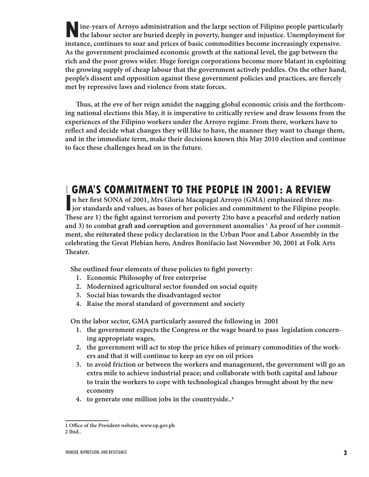**N** ine-years of Arroyo administration and the large section of Filipino people particularly the labour sector are buried deeply in poverty, hunger and injustice. Unemployment for **ine-years of Arroyo administration and the large section of Filipino people particularly instance, continues to soar and prices of basic commodities become increasingly expensive. As the government proclaimed economic growth at the national level, the gap between the rich and the poor grows wider. Huge foreign corporations become more blatant in exploiting the growing supply of cheap labour that the government actively peddles. On the other hand, people's dissent and opposition against these government policies and practices, are fiercely met by repressive laws and violence from state forces.** 

Thus, at the eve of her reign amidst the nagging global economic crisis and the forthcom**ing national elections this May, it is imperative to critically review and draw lessons from the experiences of the Filipino workers under the Arroyo regime. From there, workers have to**  reflect and decide what changes they will like to have, the manner they want to change them, **and in the immediate term, make their decisions known this May 2010 election and continue to face these challenges head on in the future.**

# **I GMA'S COMMITMENT TO THE PEOPLE IN 2001: A REVIEW**

**I** n her first SONA of 2001, Mrs Gloria Macapagal Arroyo (GMA) emphasized three ma**jor standards and values, as bases of her policies and commitment to the Filipino people.**  These are 1) the fight against terrorism and poverty 2) to have a peaceful and orderly nation and 3) to combat graft and corruption and government anomalies **1 As proof of her commitment, she reiterated these policy declaration in the Urban Poor and Labor Assembly in the celebrating the Great Plebian hero, Andres Bonifacio last November 30, 2001 at Folk Arts Theater.** 

She outlined four elements of these policies to fight poverty:

- **1. Economic Philosophy of free enterprise**
- **2. Modernized agricultural sector founded on social equity**
- **3. Social bias towards the disadvantaged sector**
- **4. Raise the moral standard of government and society**

**On the labor sector, GMA particularly assured the following in 2001** 

- **1. the government expects the Congress or the wage board to pass legislation concerning appropriate wages,**
- **2. the government will act to stop the price hikes of primary commodities of the workers and that it will continue to keep an eye on oil prices**
- **3. to avoid friction or between the workers and management, the government will go an extra mile to achieve industrial peace; and collaborate with both capital and labour to train the workers to cope with technological changes brought about by the new economy**
- **4. to generate one million jobs in the countryside..<sup>2</sup>**

**<sup>1</sup> O\$ ce of the President website, www.op.gov.ph**

**<sup>2</sup> Ibid..**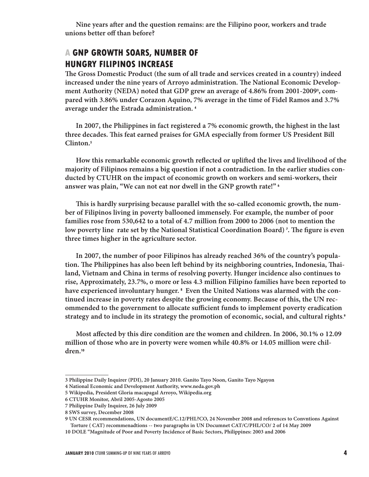Nine years after and the question remains: are the Filipino poor, workers and trade **unions better off than before?** 

## **A GNP GROWTH SOARS, NUMBER OF HUNGRY FILIPINOS INCREASE**

The Gross Domestic Product (the sum of all trade and services created in a country) indeed increased under the nine years of Arroyo administration. The National Economic Develop**ment Authority (NEDA) noted that GDP grew an average of 4.86% from 2001-2009<sup>3</sup> , compared with 3.86% under Corazon Aquino, 7% average in the time of Fidel Ramos and 3.7% average under the Estrada administration. <sup>4</sup>**

**In 2007, the Philippines in fact registered a 7% economic growth, the highest in the last three decades. " is feat earned praises for GMA especially from former US President Bill Clinton.<sup>5</sup>**

How this remarkable economic growth reflected or uplifted the lives and livelihood of the **majority of Filipinos remains a big question if not a contradiction. In the earlier studies conducted by CTUHR on the impact of economic growth on workers and semi-workers, their answer was plain, "We can not eat nor dwell in the GNP growth rate!" <sup>6</sup>**

This is hardly surprising because parallel with the so-called economic growth, the num**ber of Filipinos living in poverty ballooned immensely. For example, the number of poor families rose from 530,642 to a total of 4.7 million from 2000 to 2006 (not to mention the**  low poverty line rate set by the National Statistical Coordination Board) <sup>,</sup>. The figure is even **three times higher in the agriculture sector.**

**In 2007, the number of poor Filipinos has already reached 36% of the country's popula**tion. The Philippines has also been left behind by its neighboring countries, Indonesia, Thai**land, Vietnam and China in terms of resolving poverty. Hunger incidence also continues to rise, Approximately, 23.7%, o more or less 4.3 million Filipino families have been reported to have experienced involuntary hunger. <sup>8</sup> Even the United Nations was alarmed with the continued increase in poverty rates despite the growing economy. Because of this, the UN recommended to the government to allocate sufficient funds to implement poverty eradication strategy and to include in its strategy the promotion of economic, social, and cultural rights**. **9**

Most affected by this dire condition are the women and children. In 2006, 30.1% o 12.09 **million of those who are in poverty were women while 40.8% or 14.05 million were children.<sup>10</sup>**

**<sup>3</sup> Philippine Daily Inquirer (PDI), 20 January 2010. Ganito Tayo Noon, Ganito Tayo Ngayon**

**<sup>4</sup> National Economic and Development Authority, www.neda.gov.ph**

**<sup>5</sup> Wikipedia, President Gloria macapagal Arroyo, Wikipedia.org**

**<sup>6</sup> CTUHR Monitor, Abril 2005-Agosto 2005**

**<sup>7</sup> Philippine Daily Inquirer, 26 July 2009**

**<sup>8</sup> SWS survey, December 2008**

**<sup>9</sup> UN CESR recommendations, UN documentE/C.12/PHL?CO, 24 November 2008 and references to Convntions Against Torture ( CAT) recommenadtions -- two paragraphs in UN Documnet CAT/C/PHL/CO/ 2 of 14 May 2009**

**<sup>10</sup> DOLE "Magnitude of Poor and Poverty Incidence of Basic Sectors, Philippines: 2003 and 2006**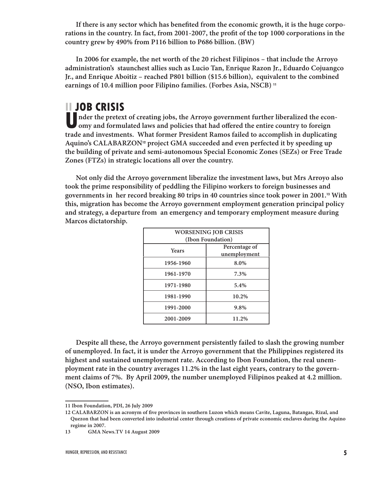If there is any sector which has benefited from the economic growth, it is the huge corporations in the country. In fact, from 2001-2007, the profit of the top 1000 corporations in the **country grew by 490% from P116 billion to P686 billion. (BW)**

**In 2006 for example, the net worth of the 20 richest Filipinos – that include the Arroyo administration's staunchest allies such as Lucio Tan, Enrique Razon Jr., Eduardo Cojuangco Jr., and Enrique Aboitiz – reached P801 billion (\$15.6 billion), equivalent to the combined earnings of 10.4 million poor Filipino families. (Forbes Asia, NSCB) <sup>11</sup>**

# **II JOB CRISIS**

**U nder the pretext of creating jobs, the Arroyo government further liberalized the econ**omy and formulated laws and policies that had offered the entire country to foreign **trade and investments. What former President Ramos failed to accomplish in duplicating Aquino's CALABARZON12 project GMA succeeded and even perfected it by speeding up the building of private and semi-autonomous Special Economic Zones (SEZs) or Free Trade Zones (FTZs) in strategic locations all over the country.**

**Not only did the Arroyo government liberalize the investment laws, but Mrs Arroyo also took the prime responsibility of peddling the Filipino workers to foreign businesses and governments in her record breaking 80 trips in 40 countries since took power in 2001.13 With this, migration has become the Arroyo government employment generation principal policy and strategy, a departure from an emergency and temporary employment measure during Marcos dictatorship.** 

| <b>WORSENING JOB CRISIS</b> |                               |  |
|-----------------------------|-------------------------------|--|
| (Ibon Foundation)           |                               |  |
| <b>Years</b>                | Percentage of<br>unemployment |  |
| 1956-1960                   | 8.0%                          |  |
| 1961-1970                   | 7.3%                          |  |
| 1971-1980                   | 5.4%                          |  |
| 1981-1990                   | 10.2%                         |  |
| 1991-2000                   | 9.8%                          |  |
| 2001-2009                   | 11.2%                         |  |

**Despite all these, the Arroyo government persistently failed to slash the growing number of unemployed. In fact, it is under the Arroyo government that the Philippines registered its highest and sustained unemployment rate. According to Ibon Foundation, the real unemployment rate in the country averages 11.2% in the last eight years, contrary to the government claims of 7%. By April 2009, the number unemployed Filipinos peaked at 4.2 million. (NSO, Ibon estimates).** 

**<sup>11</sup> Ibon Foundation, PDI, 26 July 2009**

<sup>12</sup> CALABARZON is an acronym of five provinces in southern Luzon which means Cavite, Laguna, Batangas, Rizal, and **Quezon that had been converted into industrial center through creations of private economic enclaves during the Aquino regime in 2007.**

**<sup>13</sup> GMA News.TV 14 August 2009**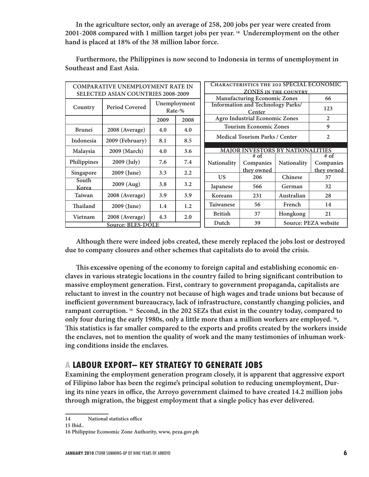**In the agriculture sector, only an average of 258, 200 jobs per year were created from 2001-2008 compared with 1 million target jobs per year. <sup>14</sup> Underemployment on the other hand is placed at 18% of the 38 million labor force.**

| <b>COMPARATIVE UNEMPLOYMENT RATE IN</b>   |                       |                        |                                                                    | CHARACTERISTICS THE 202 SPECIAL ECONOMIC           |                                       |                      |                     |
|-------------------------------------------|-----------------------|------------------------|--------------------------------------------------------------------|----------------------------------------------------|---------------------------------------|----------------------|---------------------|
| <b>SELECTED ASIAN COUNTRIES 2008-2009</b> |                       |                        | <b>ZONES IN THE COUNTRY</b><br><b>Manufacturing Economic Zones</b> |                                                    | 66                                    |                      |                     |
| Country                                   | <b>Period Covered</b> | Unemployment<br>Rate-% |                                                                    | <b>Information and Technology Parks/</b><br>Center |                                       | 123                  |                     |
|                                           |                       | 2009                   | 2008                                                               |                                                    | <b>Agro Industrial Economic Zones</b> |                      | 2                   |
| <b>Brunei</b>                             | 2008 (Average)        | 4.0                    | 4.0                                                                |                                                    | <b>Tourism Economic Zones</b>         |                      | 9                   |
| Indonesia                                 | 2009 (February)       | 8.1                    | 8.5                                                                |                                                    | <b>Medical Tourism Parks / Center</b> |                      | $\overline{2}$      |
| Malaysia                                  | 2009 (March)          | 4.0                    | 3.6                                                                | <b>MAJOR INVESTORS BY NATIONALITIES</b>            |                                       |                      |                     |
| Philippines                               | 2009 (July)           | 7.6                    | 7.4                                                                | Nationality                                        | $# \text{ of }$<br>Companies          | Nationality          | $#$ of<br>Companies |
| Singapore                                 | 2009 (June)           | 3.3                    | $2.2\,$                                                            |                                                    | they owned                            |                      | they owned          |
| South                                     |                       |                        |                                                                    | <b>US</b>                                          | 206                                   | Chinese              | 37                  |
| Korea                                     | 2009 (Aug)            | 3.8                    | 3.2                                                                | Japanese                                           | 566                                   | German               | 32                  |
| Taiwan                                    | 2008 (Average)        | 3.9                    | 3.9                                                                | Koreans                                            | 231                                   | Australian           | 28                  |
| Thailand                                  | 2009 (June)           | 1.4                    | 1.2                                                                | Taiwanese                                          | 56                                    | French               | 14                  |
| Vietnam                                   | 2008 (Average)        | 4.3                    | 2.0                                                                | <b>British</b>                                     | 37                                    | Hongkong             | 21                  |
| <b>Source: BLES-DOLE</b>                  |                       |                        | Dutch                                                              | 39                                                 |                                       | Source: PEZA website |                     |

**Furthermore, the Philippines is now second to Indonesia in terms of unemployment in Southeast and East Asia.**

**Although there were indeed jobs created, these merely replaced the jobs lost or destroyed due to company closures and other schemes that capitalists do to avoid the crisis.** 

**" is excessive opening of the economy to foreign capital and establishing economic en**claves in various strategic locations in the country failed to bring significant contribution to **massive employment generation. First, contrary to government propaganda, capitalists are reluctant to invest in the country not because of high wages and trade unions but because of**  inefficient government bureaucracy, lack of infrastructure, constantly changing policies, and **rampant corruption. <sup>15</sup> Second, in the 202 SEZs that exist in the country today, compared to only four during the early 1980s, only a little more than a million workers are employed. <sup>16</sup> ,**  This statistics is far smaller compared to the exports and profits created by the workers inside **the enclaves, not to mention the quality of work and the many testimonies of inhuman working conditions inside the enclaves.** 

### **A LABOUR EXPORT– KEY STRATEGY TO GENERATE JOBS**

**Examining the employment generation program closely, it is apparent that aggressive export of Filipino labor has been the regime's principal solution to reducing unemployment, Dur**ing its nine years in office, the Arroyo government claimed to have created 14.2 million jobs **through migration, the biggest employment that a single policy has ever delivered.**

**15 Ibid..**

**<sup>14</sup>** National statistics office

**<sup>16</sup> Philippine Economic Zone Authority, www, peza.gov.ph**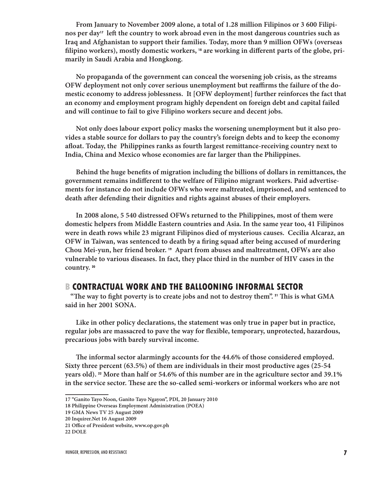**From January to November 2009 alone, a total of 1.28 million Filipinos or 3 600 Filipi**nos per day<sup>17</sup> left the country to work abroad even in the most dangerous countries such as **Iraq and Afghanistan to support their families. Today, more than 9 million OFWs (overseas**  filipino workers), mostly domestic workers, <sup>18</sup> are working in different parts of the globe, pri**marily in Saudi Arabia and Hongkong.** 

**No propaganda of the government can conceal the worsening job crisis, as the streams**  OFW deployment not only cover serious unemployment but reaffirms the failure of the do**mestic economy to address joblessness. It [OFW deployment] further reinforces the fact that an economy and employment program highly dependent on foreign debt and capital failed and will continue to fail to give Filipino workers secure and decent jobs.** 

**Not only does labour export policy masks the worsening unemployment but it also provides a stable source for dollars to pay the country's foreign debts and to keep the economy**  afloat. Today, the Philippines ranks as fourth largest remittance-receiving country next to **India, China and Mexico whose economies are far larger than the Philippines.**

Behind the huge benefits of migration including the billions of dollars in remittances, the government remains indifferent to the welfare of Filipino migrant workers. Paid advertise**ments for instance do not include OFWs who were maltreated, imprisoned, and sentenced to**  death after defending their dignities and rights against abuses of their employers.

**In 2008 alone, 5 540 distressed OFWs returned to the Philippines, most of them were domestic helpers from Middle Eastern countries and Asia. In the same year too, 41 Filipinos were in death rows while 23 migrant Filipinos died of mysterious causes. Cecilia Alcaraz, an**  OFW in Taiwan, was sentenced to death by a firing squad after being accused of murdering **Chou Mei-yun, her friend broker. <sup>19</sup> Apart from abuses and maltreatment, OFWs are also vulnerable to various diseases. In fact, they place third in the number of HIV cases in the country. <sup>20</sup>**

#### **B CONTRACTUAL WORK AND THE BALLOONING INFORMAL SECTOR**

"The way to fight poverty is to create jobs and not to destroy them". <sup>21</sup> This is what GMA **said in her 2001 SONA.** 

**Like in other policy declarations, the statement was only true in paper but in practice,**  regular jobs are massacred to pave the way for flexible, temporary, unprotected, hazardous, **precarious jobs with barely survival income.** 

The informal sector alarmingly accounts for the 44.6% of those considered employed. **Sixty three percent (63.5%) of them are individuals in their most productive ages (25-54 years old). <sup>22</sup> More than half or 54.6% of this number are in the agriculture sector and 39.1%**  in the service sector. These are the so-called semi-workers or informal workers who are not

**<sup>17 &</sup>quot;Ganito Tayo Noon, Ganito Tayo Ngayon", PDI, 20 January 2010**

**<sup>18</sup> Philippine Overseas Employment Administration (POEA)**

**<sup>19</sup> GMA News TV 25 August 2009**

**<sup>20</sup> Inquirer.Net 16 August 2009**

<sup>21</sup> Office of President website, www.op.gov.ph

**<sup>22</sup> DOLE**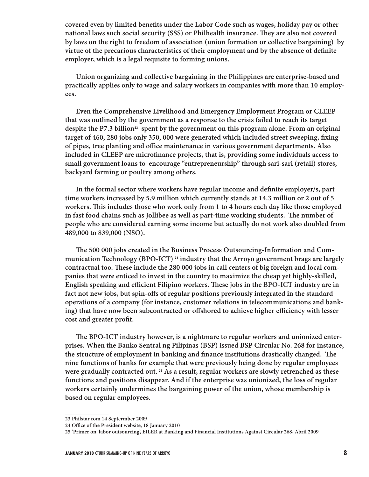covered even by limited benefits under the Labor Code such as wages, holiday pay or other national laws such social security (SSS) or Philhealth insurance. They are also not covered **by laws on the right to freedom of association (union formation or collective bargaining) by**  virtue of the precarious characteristics of their employment and by the absence of definite **employer, which is a legal requisite to forming unions.** 

**Union organizing and collective bargaining in the Philippines are enterprise-based and practically applies only to wage and salary workers in companies with more than 10 employees.**

**Even the Comprehensive Livelihood and Emergency Employment Program or CLEEP that was outlined by the government as a response to the crisis failed to reach its target despite the P7.3 billion23 spent by the government on this program alone. From an original**  target of 460, 280 jobs only 350, 000 were generated which included street sweeping, fixing of pipes, tree planting and office maintenance in various government departments. Also included in CLEEP are microfinance projects, that is, providing some individuals access to **small government loans to encourage "entrepreneurship" through sari-sari (retail) stores, backyard farming or poultry among others.**

In the formal sector where workers have regular income and definite employer/s, part **time workers increased by 5.9 million which currently stands at 14.3 million or 2 out of 5 workers. " is includes those who work only from 1 to 4 hours each day like those employed**  in fast food chains such as Jollibee as well as part-time working students. The number of **people who are considered earning some income but actually do not work also doubled from 489,000 to 839,000 (NSO).**

The 500 000 jobs created in the Business Process Outsourcing-Information and Com**munication Technology (BPO-ICT) <sup>24</sup> industry that the Arroyo government brags are largely**  contractual too. These include the 280 000 jobs in call centers of big foreign and local com**panies that were enticed to invest in the country to maximize the cheap yet highly-skilled,**  English speaking and efficient Filipino workers. These jobs in the BPO-ICT industry are in fact not new jobs, but spin-offs of regular positions previously integrated in the standard **operations of a company (for instance, customer relations in telecommunications and bank**ing) that have now been subcontracted or offshored to achieve higher efficiency with lesser cost and greater profit.

The BPO-ICT industry however, is a nightmare to regular workers and unionized enter**prises. When the Banko Sentral ng Pilipinas (BSP) issued BSP Circular No. 268 for instance,**  the structure of employment in banking and finance institutions drastically changed. The **nine functions of banks for example that were previously being done by regular employees were gradually contracted out. <sup>25</sup> As a result, regular workers are slowly retrenched as these functions and positions disappear. And if the enterprise was unionized, the loss of regular workers certainly undermines the bargaining power of the union, whose membership is based on regular employees.** 

**<sup>23</sup> Philstar.com 14 Septermber 2009**

<sup>24</sup> Office of the President website, 18 January 2010

**<sup>25 &#</sup>x27;Primer on labor outsourcing', EILER at Banking and Financial Institutions Against Circular 268, Abril 2009**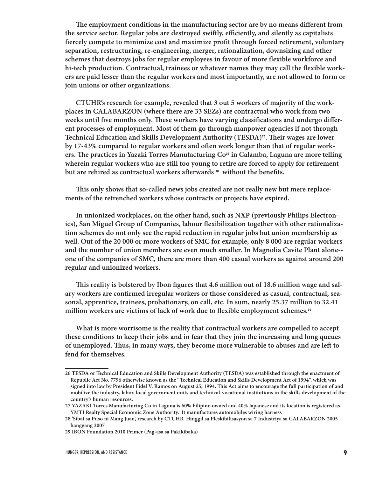The employment conditions in the manufacturing sector are by no means different from the service sector. Regular jobs are destroyed swiftly, efficiently, and silently as capitalists **fiercely compete to minimize cost and maximize profit through forced retirement, voluntary separation, restructuring, re-engineering, merger, rationalization, downsizing and other**  schemes that destroys jobs for regular employees in favour of more flexible workforce and hi-tech production. Contractual, trainees or whatever names they may call the flexible work**ers are paid lesser than the regular workers and most importantly, are not allowed to form or join unions or other organizations.** 

**CTUHR's research for example, revealed that 3 out 5 workers of majority of the workplaces in CALABARZON (where there are 33 SEZs) are contractual who work from two**  weeks until five months only. These workers have varying classifications and undergo differ**ent processes of employment. Most of them go through manpower agencies if not through Technical Education and Skills Development Authority (TESDA)26. " eir wages are lower**  by 17-43% compared to regular workers and often work longer than that of regular workers. The practices in Yazaki Torres Manufacturing Co<sup>27</sup> in Calamba, Laguna are more telling **wherein regular workers who are still too young to retire are forced to apply for retirement**  but are rehired as contractual workers afterwards<sup>28</sup> without the benefits.

This only shows that so-called news jobs created are not really new but mere replace**ments of the retrenched workers whose contracts or projects have expired.** 

**In unionized workplaces, on the other hand, such as NXP (previously Philips Electron**ics), San Miguel Group of Companies, labour flexibilization together with other rationaliza**tion schemes do not only see the rapid reduction in regular jobs but union membership as well. Out of the 20 000 or more workers of SMC for example, only 8 000 are regular workers and the number of union members are even much smaller. In Magnolia Cavite Plant alone- one of the companies of SMC, there are more than 400 casual workers as against around 200 regular and unionized workers.** 

This reality is bolstered by Ibon figures that 4.6 million out of 18.6 million wage and salary workers are confirmed irregular workers or those considered as casual, contractual, sea**sonal, apprentice, trainees, probationary, on call, etc. In sum, nearly 25.37 million to 32.41**  million workers are victims of lack of work due to flexible employment schemes.<sup>29</sup>

**What is more worrisome is the reality that contractual workers are compelled to accept these conditions to keep their jobs and in fear that they join the increasing and long queues**  of unemployed. Thus, in many ways, they become more vulnerable to abuses and are left to **fend for themselves.**

**<sup>26</sup> TESDA or Technical Education and Skills Development Authority (TESDA) was established through the enactment of Republic Act No. 7796 otherwise known as the "Technical Education and Skills Development Act of 1994", which was signed into law by President Fidel V. Ramos on August 25, 1994. " is Act aims to encourage the full participation of and mobilize the industry, labor, local government units and technical-vocational institutions in the skills development of the country's human resources.**

**<sup>27</sup> YAZAKI Torres Manufacturing Co in Laguna is 60% Filipino owned and 40% Japanese and its location is registered as YMTI Realty Special Economic Zone Authority. It manufactures automobiles wiring harness**

**<sup>28 &#</sup>x27;Sibat sa Puso ni Mang Juan', research by CTUHR Hinggil sa Pleskibilisasyon sa 7 Industriya sa CALABARZON 2005 hanggang 2007**

**<sup>29</sup> IBON Foundation 2010 Primer (Pag-asa sa Pakikibaka)**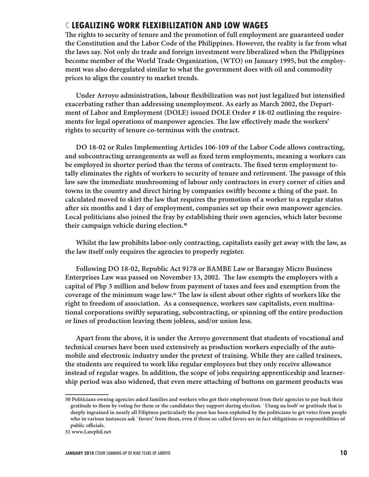### **C LEGALIZING WORK FLEXIBILIZATION AND LOW WAGES**

The rights to security of tenure and the promotion of full employment are guaranteed under **the Constitution and the Labor Code of the Philippines. However, the reality is far from what the laws say. Not only do trade and foreign investment were liberalized when the Philippines become member of the World Trade Organization, (WTO) on January 1995, but the employment was also deregulated similar to what the government does with oil and commodity prices to align the country to market trends.** 

Under Arroyo administration, labour flexibilization was not just legalized but intensified **exacerbating rather than addressing unemployment. As early as March 2002, the Department of Labor and Employment (DOLE) issued DOLE Order # 18-02 outlining the require**ments for legal operations of manpower agencies. The law effectively made the workers' **rights to security of tenure co-terminus with the contract.** 

**DO 18-02 or Rules Implementing Articles 106-109 of the Labor Code allows contracting,**  and subcontracting arrangements as well as fixed term employments, meaning a workers can be employed in shorter period than the terms of contracts. The fixed term employment totally eliminates the rights of workers to security of tenure and retirement. The passage of this **law saw the immediate mushrooming of labour only contractors in every corner of cities and towns in the country and direct hiring by companies swiftly become a thing of the past. In calculated moved to skirt the law that requires the promotion of a worker to a regular status**  after six months and 1 day of employment, companies set up their own manpower agencies. **Local politicians also joined the fray by establishing their own agencies, which later become their campaign vehicle during election.<sup>30</sup>**

**Whilst the law prohibits labor-only contracting, capitalists easily get away with the law, as the law itself only requires the agencies to properly register.**

**Following DO 18-02, Republic Act 9178 or BAMBE Law or Barangay Micro Business**  Enterprises Law was passed on November 13, 2002. The law exempts the employers with a **capital of Php 3 million and below from payment of taxes and fees and exemption from the**  coverage of the minimum wage law.<sup>31</sup> The law is silent about other rights of workers like the **right to freedom of association. As a consequence, workers saw capitalists, even multina**tional corporations swiftly separating, subcontracting, or spinning off the entire production **or lines of production leaving them jobless, and/or union less.** 

**Apart from the above, it is under the Arroyo government that students of vocational and technical courses have been used extensively as production workers especially of the automobile and electronic industry under the pretext of training. While they are called trainees, the students are required to work like regular employees but they only receive allowance instead of regular wages. In addition, the scope of jobs requiring apprenticeship and learnership period was also widened, that even mere attaching of buttons on garment products was** 

**<sup>30</sup> Politicians owning agencies asked families and workers who got their employment from their agencies to pay back their gratitude to them by voting for them or the candidates they support during election. `Utang na loob' or gratitude that is deeply ingrained in nearly all Filipinos particularly the poor has been exploited by the politicians to get votes from people who in various instances ask `favors' from them, even if those so called favors are in fact obligations or responsibilities of**  public officials.

**<sup>31</sup> www.Lawphil.net**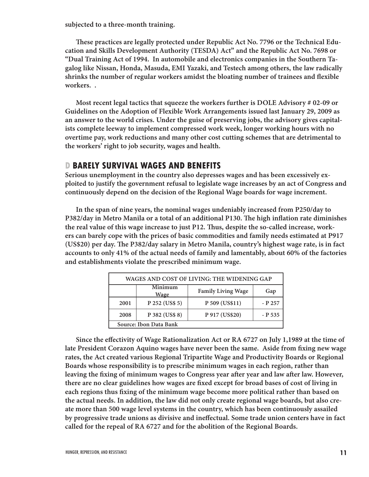**subjected to a three-month training.** 

These practices are legally protected under Republic Act No. 7796 or the Technical Edu**cation and Skills Development Authority (TESDA) Act" and the Republic Act No. 7698 or "Dual Training Act of 1994. In automobile and electronics companies in the Southern Tagalog like Nissan, Honda, Masuda, EMI Yazaki, and Testech among others, the law radically**  shrinks the number of regular workers amidst the bloating number of trainees and flexible **workers. .** 

**Most recent legal tactics that squeeze the workers further is DOLE Advisory # 02-09 or Guidelines on the Adoption of Flexible Work Arrangements issued last January 29, 2009 as an answer to the world crises. Under the guise of preserving jobs, the advisory gives capitalists complete leeway to implement compressed work week, longer working hours with no overtime pay, work reductions and many other cost cutting schemes that are detrimental to the workers' right to job security, wages and health.** 

#### **D BARELY SURVIVAL WAGES AND BENEFITS**

**Serious unemployment in the country also depresses wages and has been excessively exploited to justify the government refusal to legislate wage increases by an act of Congress and continuously depend on the decision of the Regional Wage boards for wage increment.**

**In the span of nine years, the nominal wages undeniably increased from P250/day to**  P382/day in Metro Manila or a total of an additional P130. The high inflation rate diminishes **the real value of this wage increase to just P12. " us, despite the so-called increase, workers can barely cope with the prices of basic commodities and family needs estimated at P917**  (US\$20) per day. The P382/day salary in Metro Manila, country's highest wage rate, is in fact **accounts to only 41% of the actual needs of family and lamentably, about 60% of the factories and establishments violate the prescribed minimum wage.** 

| WAGES AND COST OF LIVING: THE WIDENING GAP |                        |                           |         |
|--------------------------------------------|------------------------|---------------------------|---------|
|                                            | Minimum<br><u>Wage</u> | <b>Family Living Wage</b> | Gap     |
| 2001                                       | P 252 (US\$ 5)         | P 509 (US\$11)            | - P 257 |
| 2008                                       | P 382 (US\$ 8)         | P 917 (US\$20)            | - P 535 |
| Source: Ibon Data Bank                     |                        |                           |         |

Since the effectivity of Wage Rationalization Act or RA 6727 on July 1,1989 at the time of late President Corazon Aquino wages have never been the same. Aside from fixing new wage **rates, the Act created various Regional Tripartite Wage and Productivity Boards or Regional Boards whose responsibility is to prescribe minimum wages in each region, rather than**  leaving the fixing of minimum wages to Congress year after year and law after law. However, there are no clear guidelines how wages are fixed except for broad bases of cost of living in each regions thus fixing of the minimum wage become more political rather than based on **the actual needs. In addition, the law did not only create regional wage boards, but also create more than 500 wage level systems in the country, which has been continuously assailed**  by progressive trade unions as divisive and ineffectual. Some trade union centers have in fact **called for the repeal of RA 6727 and for the abolition of the Regional Boards.**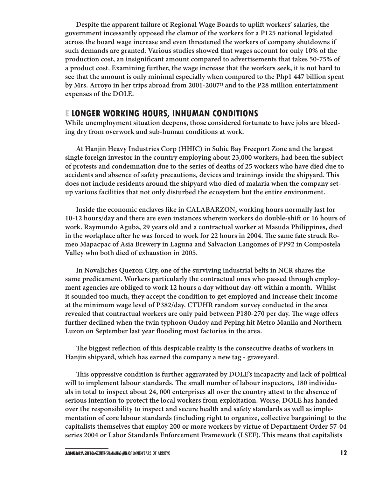**Despite the apparent failure of Regional Wage Boards to uplift workers' salaries, the government incessantly opposed the clamor of the workers for a P125 national legislated across the board wage increase and even threatened the workers of company shutdowns if such demands are granted. Various studies showed that wages account for only 10% of the**  production cost, an insignificant amount compared to advertisements that takes 50-75% of **a product cost. Examining further, the wage increase that the workers seek, it is not hard to see that the amount is only minimal especially when compared to the Php1 447 billion spent by Mrs. Arroyo in her trips abroad from 2001-200732 and to the P28 million entertainment expenses of the DOLE.** 

#### **E LONGER WORKING HOURS, INHUMAN CONDITIONS**

**While unemployment situation deepens, those considered fortunate to have jobs are bleeding dry from overwork and sub-human conditions at work.** 

**At Hanjin Heavy Industries Corp (HHIC) in Subic Bay Freeport Zone and the largest single foreign investor in the country employing about 23,000 workers, had been the subject of protests and condemnation due to the series of deaths of 25 workers who have died due to accidents and absence of safety precautions, devices and trainings inside the shipyard. " is does not include residents around the shipyard who died of malaria when the company setup various facilities that not only disturbed the ecosystem but the entire environment.**

**Inside the economic enclaves like in CALABARZON, working hours normally last for**  10-12 hours/day and there are even instances wherein workers do double-shift or 16 hours of **work. Raymundo Aguba, 29 years old and a contractual worker at Masuda Philippines, died**  in the workplace after he was forced to work for 22 hours in 2004. The same fate struck Ro**meo Mapacpac of Asia Brewery in Laguna and Salvacion Langomes of PP92 in Compostela Valley who both died of exhaustion in 2005.**

**In Novaliches Quezon City, one of the surviving industrial belts in NCR shares the same predicament. Workers particularly the contractual ones who passed through employ**ment agencies are obliged to work 12 hours a day without day-off within a month. Whilst **it sounded too much, they accept the condition to get employed and increase their income at the minimum wage level of P382/day. CTUHR random survey conducted in the area**  revealed that contractual workers are only paid between P180-270 per day. The wage offers **further declined when the twin typhoon Ondoy and Peping hit Metro Manila and Northern**  Luzon on September last year flooding most factories in the area.

The biggest reflection of this despicable reality is the consecutive deaths of workers in **Hanjin shipyard, which has earned the company a new tag - graveyard.**

This oppressive condition is further aggravated by DOLE's incapacity and lack of political will to implement labour standards. The small number of labour inspectors, 180 individu**als in total to inspect about 24, 000 enterprises all over the country attest to the absence of serious intention to protect the local workers from exploitation. Worse, DOLE has handed over the responsibility to inspect and secure health and safety standards as well as implementation of core labour standards (including right to organize, collective bargaining) to the capitalists themselves that employ 200 or more workers by virtue of Department Order 57-04 series 2004 or Labor Standards Enforcement Framework (LSEF). " is means that capitalists**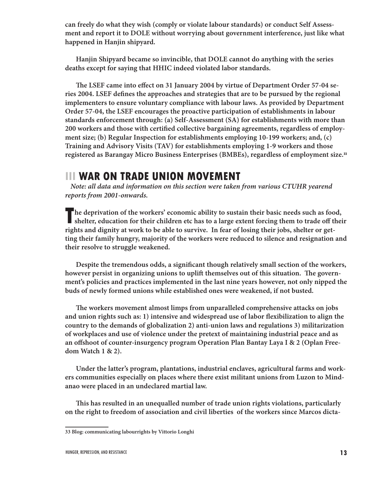**can freely do what they wish (comply or violate labour standards) or conduct Self Assessment and report it to DOLE without worrying about government interference, just like what happened in Hanjin shipyard.** 

**Hanjin Shipyard became so invincible, that DOLE cannot do anything with the series deaths except for saying that HHIC indeed violated labor standards.**

The LSEF came into effect on 31 January 2004 by virtue of Department Order 57-04 series 2004. LSEF defines the approaches and strategies that are to be pursued by the regional **implementers to ensure voluntary compliance with labour laws. As provided by Department Order 57-04, the LSEF encourages the proactive participation of establishments in labour standards enforcement through: (a) Self-Assessment (SA) for establishments with more than**  200 workers and those with certified collective bargaining agreements, regardless of employ**ment size; (b) Regular Inspection for establishments employing 10-199 workers; and, (c) Training and Advisory Visits (TAV) for establishments employing 1-9 workers and those registered as Barangay Micro Business Enterprises (BMBEs), regardless of employment size.<sup>33</sup>**

# **III WAR ON TRADE UNION MOVEMENT**

**Note: all data and information on this section were taken from various CTUHR yearend reports from 2001-onwards.**

**T he deprivation of the workers' economic ability to sustain their basic needs such as food,**  shelter, education for their children etc has to a large extent forcing them to trade off their **rights and dignity at work to be able to survive. In fear of losing their jobs, shelter or getting their family hungry, majority of the workers were reduced to silence and resignation and their resolve to struggle weakened.** 

Despite the tremendous odds, a significant though relatively small section of the workers, however persist in organizing unions to uplift themselves out of this situation. The govern**ment's policies and practices implemented in the last nine years however, not only nipped the buds of newly formed unions while established ones were weakened, if not busted.**

The workers movement almost limps from unparalleled comprehensive attacks on jobs and union rights such as: 1) intensive and widespread use of labor flexibilization to align the **country to the demands of globalization 2) anti-union laws and regulations 3) militarization of workplaces and use of violence under the pretext of maintaining industrial peace and as**  an offshoot of counter-insurgency program Operation Plan Bantay Laya I & 2 (Oplan Free**dom Watch 1 & 2).**

**Under the latter's program, plantations, industrial enclaves, agricultural farms and workers communities especially on places where there exist militant unions from Luzon to Mindanao were placed in an undeclared martial law.**

**" is has resulted in an unequalled number of trade union rights violations, particularly on the right to freedom of association and civil liberties of the workers since Marcos dicta-**

**<sup>33</sup> Blog: communicating labourrights by Vittorio Longhi**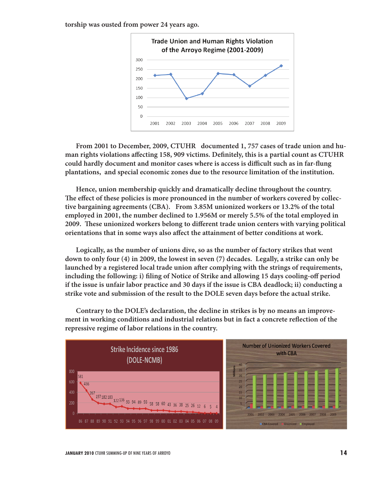**torship was ousted from power 24 years ago.**



**From 2001 to December, 2009, CTUHR documented 1, 757 cases of trade union and hu**man rights violations affecting 158, 909 victims. Definitely, this is a partial count as CTUHR could hardly document and monitor cases where is access is difficult such as in far-flung **plantations, and special economic zones due to the resource limitation of the institution.**

**Hence, union membership quickly and dramatically decline throughout the country.**  The effect of these policies is more pronounced in the number of workers covered by collec**tive bargaining agreements (CBA). From 3.85M unionized workers or 13.2% of the total employed in 2001, the number declined to 1.956M or merely 5.5% of the total employed in 2009. These unionized workers belong to different trade union centers with varying political orientations that in some ways also affect the attainment of better conditions at work.** 

**Logically, as the number of unions dive, so as the number of factory strikes that went down to only four (4) in 2009, the lowest in seven (7) decades. Legally, a strike can only be**  launched by a registered local trade union after complying with the strings of requirements, including the following: i) filing of Notice of Strike and allowing 15 days cooling-off period **if the issue is unfair labor practice and 30 days if the issue is CBA deadlock; ii) conducting a strike vote and submission of the result to the DOLE seven days before the actual strike.** 

**Contrary to the DOLE's declaration, the decline in strikes is by no means an improve**ment in working conditions and industrial relations but in fact a concrete reflection of the **repressive regime of labor relations in the country.**

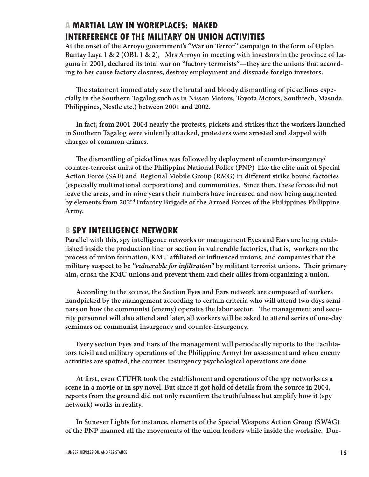### **A MARTIAL LAW IN WORKPLACES: NAKED INTERFERENCE OF THE MILITARY ON UNION ACTIVITIES**

**At the onset of the Arroyo government's "War on Terror" campaign in the form of Oplan Bantay Laya 1 & 2 (OBL 1 & 2), Mrs Arroyo in meeting with investors in the province of Laguna in 2001, declared its total war on "factory terrorists"—they are the unions that according to her cause factory closures, destroy employment and dissuade foreign investors.**

The statement immediately saw the brutal and bloody dismantling of picketlines espe**cially in the Southern Tagalog such as in Nissan Motors, Toyota Motors, Southtech, Masuda Philippines, Nestle etc.) between 2001 and 2002.**

**In fact, from 2001-2004 nearly the protests, pickets and strikes that the workers launched in Southern Tagalog were violently attacked, protesters were arrested and slapped with charges of common crimes.**

**" e dismantling of picketlines was followed by deployment of counter-insurgency/ counter-terrorist units of the Philippine National Police (PNP) like the elite unit of Special**  Action Force (SAF) and Regional Mobile Group (RMG) in different strike bound factories **(especially multinational corporations) and communities. Since then, these forces did not leave the areas, and in nine years their numbers have increased and now being augmented by elements from 202nd Infantry Brigade of the Armed Forces of the Philippines Philippine Army.**

#### **B SPY INTELLIGENCE NETWORK**

**Parallel with this, spy intelligence networks or management Eyes and Ears are being established inside the production line or section in vulnerable factories, that is, workers on the**  process of union formation, KMU affiliated or influenced unions, and companies that the **military suspect to be "vulnerable for infiltration" by militant terrorist unions. Their primary aim, crush the KMU unions and prevent them and their allies from organizing a union.**

**According to the source, the Section Eyes and Ears network are composed of workers handpicked by the management according to certain criteria who will attend two days semi**nars on how the communist (enemy) operates the labor sector. The management and secu**rity personnel will also attend and later, all workers will be asked to attend series of one-day seminars on communist insurgency and counter-insurgency.** 

**Every section Eyes and Ears of the management will periodically reports to the Facilitators (civil and military operations of the Philippine Army) for assessment and when enemy activities are spotted, the counter-insurgency psychological operations are done.**

**At ! rst, even CTUHR took the establishment and operations of the spy networks as a scene in a movie or in spy novel. But since it got hold of details from the source in 2004,**  reports from the ground did not only reconfirm the truthfulness but amplify how it (spy **network) works in reality.** 

**In Sunever Lights for instance, elements of the Special Weapons Action Group (SWAG) of the PNP manned all the movements of the union leaders while inside the worksite. Dur-**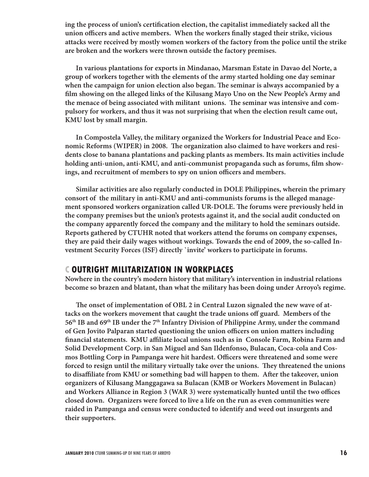ing the process of union's certification election, the capitalist immediately sacked all the union officers and active members. When the workers finally staged their strike, vicious **attacks were received by mostly women workers of the factory from the police until the strike are broken and the workers were thrown outside the factory premises.** 

**In various plantations for exports in Mindanao, Marsman Estate in Davao del Norte, a group of workers together with the elements of the army started holding one day seminar**  when the campaign for union election also began. The seminar is always accompanied by a film showing on the alleged links of the Kilusang Mayo Uno on the New People's Army and the menace of being associated with militant unions. The seminar was intensive and com**pulsory for workers, and thus it was not surprising that when the election result came out, KMU lost by small margin.**

**In Compostela Valley, the military organized the Workers for Industrial Peace and Eco**nomic Reforms (WIPER) in 2008. The organization also claimed to have workers and resi**dents close to banana plantations and packing plants as members. Its main activities include**  holding anti-union, anti-KMU, and anti-communist propaganda such as forums, film showings, and recruitment of members to spy on union officers and members.

**Similar activities are also regularly conducted in DOLE Philippines, wherein the primary consort of the military in anti-KMU and anti-communists forums is the alleged manage**ment sponsored workers organization called UR-DOLE. The forums were previously held in **the company premises but the union's protests against it, and the social audit conducted on the company apparently forced the company and the military to hold the seminars outside. Reports gathered by CTUHR noted that workers attend the forums on company expenses, they are paid their daily wages without workings. Towards the end of 2009, the so-called Investment Security Forces (ISF) directly `invite' workers to participate in forums.**

#### **C OUTRIGHT MILITARIZATION IN WORKPLACES**

**Nowhere in the country's modern history that military's intervention in industrial relations become so brazen and blatant, than what the military has been doing under Arroyo's regime.**

The onset of implementation of OBL 2 in Central Luzon signaled the new wave of attacks on the workers movement that caught the trade unions off guard. Members of the **56th IB and 69th IB under the 7th Infantry Division of Philippine Army, under the command**  of Gen Jovito Palparan started questioning the union officers on union matters including financial statements. KMU affiliate local unions such as in Console Farm, Robina Farm and **Solid Development Corp. in San Miguel and San Ildenfonso, Bulacan, Coca-cola and Cos**mos Bottling Corp in Pampanga were hit hardest. Officers were threatened and some were forced to resign until the military virtually take over the unions. They threatened the unions to disaffiliate from KMU or something bad will happen to them. After the takeover, union **organizers of Kilusang Manggagawa sa Bulacan (KMB or Workers Movement in Bulacan)**  and Workers Alliance in Region 3 (WAR 3) were systematically hunted until the two offices **closed down. Organizers were forced to live a life on the run as even communities were raided in Pampanga and census were conducted to identify and weed out insurgents and their supporters.**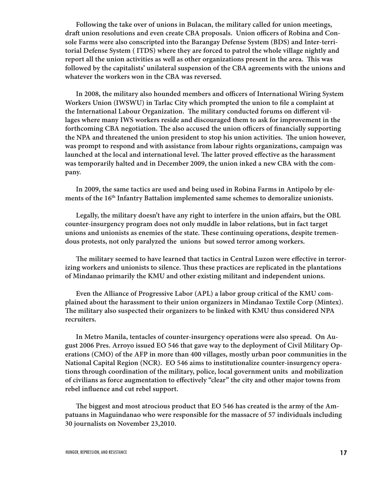**Following the take over of unions in Bulacan, the military called for union meetings,**  draft union resolutions and even create CBA proposals. Union officers of Robina and Con**sole Farms were also conscripted into the Barangay Defense System (BDS) and Inter-territorial Defense System ( ITDS) where they are forced to patrol the whole village nightly and**  report all the union activities as well as other organizations present in the area. This was **followed by the capitalists' unilateral suspension of the CBA agreements with the unions and whatever the workers won in the CBA was reversed.** 

In 2008, the military also hounded members and officers of International Wiring System Workers Union (IWSWU) in Tarlac City which prompted the union to file a complaint at the International Labour Organization. The military conducted forums on different vil**lages where many IWS workers reside and discouraged them to ask for improvement in the**  forthcoming CBA negotiation. The also accused the union officers of financially supporting the NPA and threatened the union president to stop his union activities. The union however, **was prompt to respond and with assistance from labour rights organizations, campaign was**  launched at the local and international level. The latter proved effective as the harassment **was temporarily halted and in December 2009, the union inked a new CBA with the company.** 

**In 2009, the same tactics are used and being used in Robina Farms in Antipolo by elements of the 16th Infantry Battalion implemented same schemes to demoralize unionists.**

Legally, the military doesn't have any right to interfere in the union affairs, but the OBL **counter-insurgency program does not only muddle in labor relations, but in fact target**  unions and unionists as enemies of the state. These continuing operations, despite tremen**dous protests, not only paralyzed the unions but sowed terror among workers.**

The military seemed to have learned that tactics in Central Luzon were effective in terrorizing workers and unionists to silence. Thus these practices are replicated in the plantations **of Mindanao primarily the KMU and other existing militant and independent unions.**

**Even the Alliance of Progressive Labor (APL) a labor group critical of the KMU complained about the harassment to their union organizers in Mindanao Textile Corp (Mintex).**  The military also suspected their organizers to be linked with KMU thus considered NPA **recruiters.**

**In Metro Manila, tentacles of counter-insurgency operations were also spread. On August 2006 Pres. Arroyo issued EO 546 that gave way to the deployment of Civil Military Operations (CMO) of the AFP in more than 400 villages, mostly urban poor communities in the National Capital Region (NCR). EO 546 aims to institutionalize counter-insurgency operations through coordination of the military, police, local government units and mobilization**  of civilians as force augmentation to effectively "clear" the city and other major towns from rebel influence and cut rebel support.

The biggest and most atrocious product that EO 546 has created is the army of the Am**patuans in Maguindanao who were responsible for the massacre of 57 individuals including 30 journalists on November 23,2010.**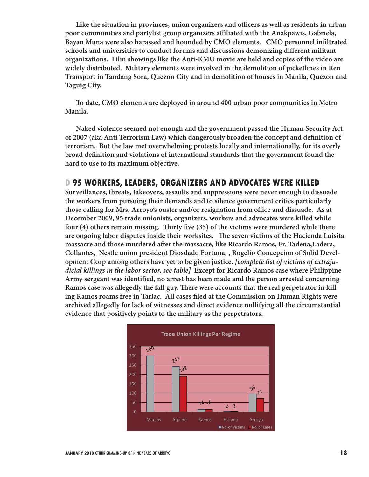Like the situation in provinces, union organizers and officers as well as residents in urban poor communities and partylist group organizers affiliated with the Anakpawis, Gabriela, Bayan Muna were also harassed and hounded by CMO elements. CMO personnel infiltrated schools and universities to conduct forums and discussions demonizing different militant **organizations. Film showings like the Anti-KMU movie are held and copies of the video are widely distributed. Military elements were involved in the demolition of picketlines in Ren Transport in Tandang Sora, Quezon City and in demolition of houses in Manila, Quezon and Taguig City.** 

**To date, CMO elements are deployed in around 400 urban poor communities in Metro Manila.**

**Naked violence seemed not enough and the government passed the Human Security Act**  of 2007 (aka Anti Terrorism Law) which dangerously broaden the concept and definition of **terrorism. But the law met overwhelming protests locally and internationally, for its overly**  broad definition and violations of international standards that the government found the **hard to use to its maximum objective.** 

#### **D 95 WORKERS, LEADERS, ORGANIZERS AND ADVOCATES WERE KILLED**

**Surveillances, threats, takeovers, assaults and suppressions were never enough to dissuade the workers from pursuing their demands and to silence government critics particularly**  those calling for Mrs. Arroyo's ouster and/or resignation from office and dissuade. As at **December 2009, 95 trade unionists, organizers, workers and advocates were killed while**  four (4) others remain missing. Thirty five (35) of the victims were murdered while there are ongoing labor disputes inside their worksites. The seven victims of the Hacienda Luisita massacre and those murdered after the massacre, like Ricardo Ramos, Fr. Tadena, Ladera, **Collantes, Nestle union president Diosdado Fortuna, , Rogelio Concepcion of Solid Development Corp among others have yet to be given justice. [complete list of victims of extrajudicial killings in the labor sector, see table] Except for Ricardo Ramos case where Philippine**  Army sergeant was identified, no arrest has been made and the person arrested concerning Ramos case was allegedly the fall guy. There were accounts that the real perpetrator in killing Ramos roams free in Tarlac. All cases filed at the Commission on Human Rights were **archived allegedly for lack of witnesses and direct evidence nullifying all the circumstantial evidence that positively points to the military as the perpetrators.**

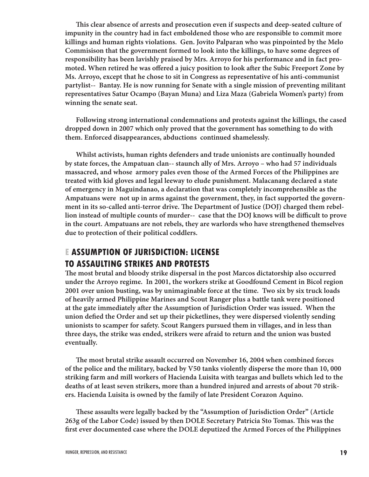**" is clear absence of arrests and prosecution even if suspects and deep-seated culture of impunity in the country had in fact emboldened those who are responsible to commit more killings and human rights violations. Gen. Jovito Palparan who was pinpointed by the Melo Commisison that the government formed to look into the killings, to have some degrees of responsibility has been lavishly praised by Mrs. Arroyo for his performance and in fact pro**moted. When retired he was offered a juicy position to look after the Subic Freeport Zone by **Ms. Arroyo, except that he chose to sit in Congress as representative of his anti-communist partylist-- Bantay. He is now running for Senate with a single mission of preventing militant representatives Satur Ocampo (Bayan Muna) and Liza Maza (Gabriela Women's party) from winning the senate seat.**

**Following strong international condemnations and protests against the killings, the cased dropped down in 2007 which only proved that the government has something to do with them. Enforced disappearances, abductions continued shamelessly.** 

**Whilst activists, human rights defenders and trade unionists are continually hounded by state forces, the Ampatuan clan-- staunch ally of Mrs. Arroyo – who had 57 individuals massacred, and whose armory pales even those of the Armed Forces of the Philippines are treated with kid gloves and legal leeway to elude punishment. Malacanang declared a state of emergency in Maguindanao, a declaration that was completely incomprehensible as the Ampatuans were not up in arms against the government, they, in fact supported the govern**ment in its so-called anti-terror drive. The Department of Justice (DOJ) charged them rebellion instead of multiple counts of murder-- case that the DOJ knows will be difficult to prove **in the court. Ampatuans are not rebels, they are warlords who have strengthened themselves due to protection of their political coddlers.** 

### **E ASSUMPTION OF JURISDICTION: LICENSE TO ASSAULTING STRIKES AND PROTESTS**

The most brutal and bloody strike dispersal in the post Marcos dictatorship also occurred **under the Arroyo regime. In 2001, the workers strike at Goodfound Cement in Bicol region 2001 over union busting, was by unimaginable force at the time. Two six by six truck loads of heavily armed Philippine Marines and Scout Ranger plus a battle tank were positioned**  at the gate immediately after the Assumption of Jurisdiction Order was issued. When the union defied the Order and set up their picketlines, they were dispersed violently sending **unionists to scamper for safety. Scout Rangers pursued them in villages, and in less than three days, the strike was ended, strikers were afraid to return and the union was busted eventually.**

The most brutal strike assault occurred on November 16, 2004 when combined forces **of the police and the military, backed by V50 tanks violently disperse the more than 10, 000 striking farm and mill workers of Hacienda Luisita with teargas and bullets which led to the deaths of at least seven strikers, more than a hundred injured and arrests of about 70 strikers. Hacienda Luisita is owned by the family of late President Corazon Aquino.**

**" ese assaults were legally backed by the "Assumption of Jurisdiction Order" (Article 263g of the Labor Code) issued by then DOLE Secretary Patricia Sto Tomas. " is was the**  first ever documented case where the DOLE deputized the Armed Forces of the Philippines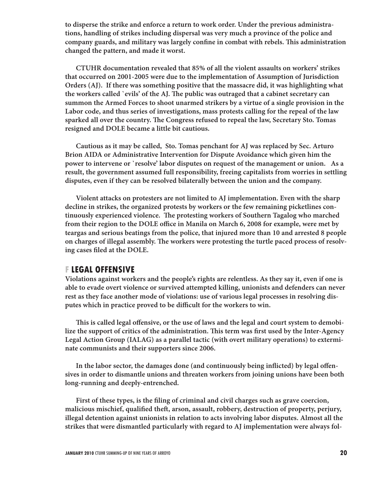**to disperse the strike and enforce a return to work order. Under the previous administrations, handling of strikes including dispersal was very much a province of the police and**  company guards, and military was largely confine in combat with rebels. This administration **changed the pattern, and made it worst.**

**CTUHR documentation revealed that 85% of all the violent assaults on workers' strikes that occurred on 2001-2005 were due to the implementation of Assumption of Jurisdiction Orders (AJ). If there was something positive that the massacre did, it was highlighting what**  the workers called `evils' of the AJ. The public was outraged that a cabinet secretary can **summon the Armed Forces to shoot unarmed strikers by a virtue of a single provision in the Labor code, and thus series of investigations, mass protests calling for the repeal of the law**  sparked all over the country. The Congress refused to repeal the law, Secretary Sto. Tomas **resigned and DOLE became a little bit cautious.**

**Cautious as it may be called, Sto. Tomas penchant for AJ was replaced by Sec. Arturo Brion AIDA or Administrative Intervention for Dispute Avoidance which given him the power to intervene or `resolve' labor disputes on request of the management or union. As a result, the government assumed full responsibility, freeing capitalists from worries in settling disputes, even if they can be resolved bilaterally between the union and the company.** 

**Violent attacks on protesters are not limited to AJ implementation. Even with the sharp decline in strikes, the organized protests by workers or the few remaining picketlines con**tinuously experienced violence. The protesting workers of Southern Tagalog who marched from their region to the DOLE office in Manila on March 6, 2008 for example, were met by **teargas and serious beatings from the police, that injured more than 10 and arrested 8 people**  on charges of illegal assembly. The workers were protesting the turtle paced process of resolving cases filed at the DOLE.

#### **F LEGAL OFFENSIVE**

**Violations against workers and the people's rights are relentless. As they say it, even if one is able to evade overt violence or survived attempted killing, unionists and defenders can never rest as they face another mode of violations: use of various legal processes in resolving dis**putes which in practice proved to be difficult for the workers to win.

This is called legal offensive, or the use of laws and the legal and court system to demobilize the support of critics of the administration. This term was first used by the Inter-Agency **Legal Action Group (IALAG) as a parallel tactic (with overt military operations) to exterminate communists and their supporters since 2006.**

In the labor sector, the damages done (and continuously being inflicted) by legal offen**sives in order to dismantle unions and threaten workers from joining unions have been both long-running and deeply-entrenched.**

First of these types, is the filing of criminal and civil charges such as grave coercion, malicious mischief, qualified theft, arson, assault, robbery, destruction of property, perjury, **illegal detention against unionists in relation to acts involving labor disputes. Almost all the strikes that were dismantled particularly with regard to AJ implementation were always fol-**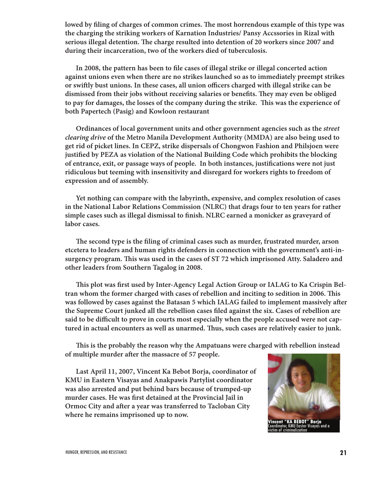lowed by filing of charges of common crimes. The most horrendous example of this type was **the charging the striking workers of Karnation Industries/ Pansy Accssories in Rizal with**  serious illegal detention. The charge resulted into detention of 20 workers since 2007 and **during their incarceration, two of the workers died of tuberculosis.**

In 2008, the pattern has been to file cases of illegal strike or illegal concerted action **against unions even when there are no strikes launched so as to immediately preempt strikes**  or swiftly bust unions. In these cases, all union officers charged with illegal strike can be dismissed from their jobs without receiving salaries or benefits. They may even be obliged to pay for damages, the losses of the company during the strike. This was the experience of **both Papertech (Pasig) and Kowloon restaurant**

**Ordinances of local government units and other government agencies such as the street clearing drive of the Metro Manila Development Authority (MMDA) are also being used to get rid of picket lines. In CEPZ, strike dispersals of Chongwon Fashion and Philsjoen were justified by PEZA as violation of the National Building Code which prohibits the blocking** of entrance, exit, or passage ways of people. In both instances, justifications were not just **ridiculous but teeming with insensitivity and disregard for workers rights to freedom of expression and of assembly.**

**Yet nothing can compare with the labyrinth, expensive, and complex resolution of cases in the National Labor Relations Commission (NLRC) that drags four to ten years for rather**  simple cases such as illegal dismissal to finish. NLRC earned a monicker as graveyard of **labor cases.**

The second type is the filing of criminal cases such as murder, frustrated murder, arson **etcetera to leaders and human rights defenders in connection with the government's anti-insurgency program. " is was used in the cases of ST 72 which imprisoned Atty. Saladero and other leaders from Southern Tagalog in 2008.**

This plot was first used by Inter-Agency Legal Action Group or IALAG to Ka Crispin Bel**tran whom the former charged with cases of rebellion and inciting to sedition in 2006. " is**  was followed by cases against the Batasan 5 which IALAG failed to implement massively after the Supreme Court junked all the rebellion cases filed against the six. Cases of rebellion are said to be difficult to prove in courts most especially when the people accused were not captured in actual encounters as well as unarmed. Thus, such cases are relatively easier to junk.

This is the probably the reason why the Ampatuans were charged with rebellion instead of multiple murder after the massacre of 57 people.

**Last April 11, 2007, Vincent Ka Bebot Borja, coordinator of KMU in Eastern Visayas and Anakpawis Partylist coordinator was also arrested and put behind bars because of trumped-up**  murder cases. He was first detained at the Provincial Jail in **Ormoc City and after a year was transferred to Tacloban City where he remains imprisoned up to now.**



**Vincent "KA BEBOT" Borja** Coordinator, KMU Easter Visayas and a victim of criminalization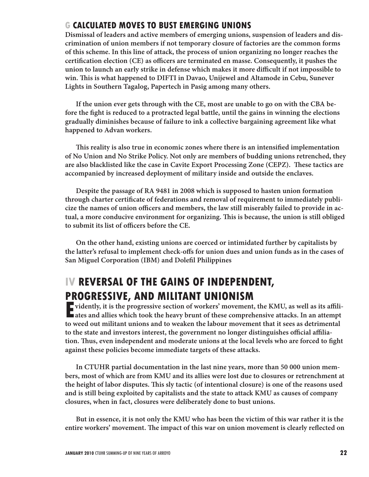### **G CALCULATED MOVES TO BUST EMERGING UNIONS**

**Dismissal of leaders and active members of emerging unions, suspension of leaders and discrimination of union members if not temporary closure of factories are the common forms of this scheme. In this line of attack, the process of union organizing no longer reaches the**  certification election (CE) as officers are terminated en masse. Consequently, it pushes the union to launch an early strike in defense which makes it more difficult if not impossible to **win. " is is what happened to DIFTI in Davao, Unijewel and Altamode in Cebu, Sunever Lights in Southern Tagalog, Papertech in Pasig among many others.**

**If the union ever gets through with the CE, most are unable to go on with the CBA be**fore the fight is reduced to a protracted legal battle, until the gains in winning the elections **gradually diminishes because of failure to ink a collective bargaining agreement like what happened to Advan workers.**

This reality is also true in economic zones where there is an intensified implementation **of No Union and No Strike Policy. Not only are members of budding unions retrenched, they**  are also blacklisted like the case in Cavite Export Processing Zone (CEPZ). These tactics are **accompanied by increased deployment of military inside and outside the enclaves.** 

**Despite the passage of RA 9481 in 2008 which is supposed to hasten union formation**  through charter certificate of federations and removal of requirement to immediately publicize the names of union officers and members, the law still miserably failed to provide in ac**tual, a more conducive environment for organizing. " is is because, the union is still obliged**  to submit its list of officers before the CE.

**On the other hand, existing unions are coerced or intimidated further by capitalists by**  the latter's refusal to implement check-offs for union dues and union funds as in the cases of **San Miguel Corporation (IBM) and Dolefil Philippines** 

# **IV REVERSAL OF THE GAINS OF INDEPENDENT, PROGRESSIVE, AND MILITANT UNIONISM**

**EVENTS ONE OF AND MILITANT CITY CHICATE**<br> **A** vidently, it is the progressive section of workers' movement, the KMU, as well as its affili-<br> **A** ates and allies which took the heavy brunt of these comprehensive attacks. I **F** vidently, it is the progressive section of workers' movement, the KMU, as well as its affili**to weed out militant unions and to weaken the labour movement that it sees as detrimental**  to the state and investors interest, the government no longer distinguishes official affiliation. Thus, even independent and moderate unions at the local levels who are forced to fight **against these policies become immediate targets of these attacks.** 

**In CTUHR partial documentation in the last nine years, more than 50 000 union members, most of which are from KMU and its allies were lost due to closures or retrenchment at the height of labor disputes. " is sly tactic (of intentional closure) is one of the reasons used and is still being exploited by capitalists and the state to attack KMU as causes of company closures, when in fact, closures were deliberately done to bust unions.**

**But in essence, it is not only the KMU who has been the victim of this war rather it is the**  entire workers' movement. The impact of this war on union movement is clearly reflected on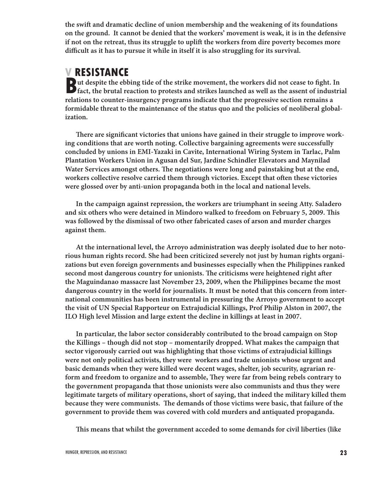the swift and dramatic decline of union membership and the weakening of its foundations **on the ground. It cannot be denied that the workers' movement is weak, it is in the defensive if not on the retreat, thus its struggle to uplift the workers from dire poverty becomes more** difficult as it has to pursue it while in itself it is also struggling for its survival.

# **V RESISTANCE**

**B** at despite the ebbing tide of the strike movement, the workers did not cease to fight. In fact, the brutal reaction to protests and strikes launched as well as the assent of industrial **ut despite the ebbing tide of the strike movement, the workers did not cease to fight. In relations to counter-insurgency programs indicate that the progressive section remains a formidable threat to the maintenance of the status quo and the policies of neoliberal globalization.**

There are significant victories that unions have gained in their struggle to improve work**ing conditions that are worth noting. Collective bargaining agreements were successfully concluded by unions in EMI-Yazaki in Cavite, International Wiring System in Tarlac, Palm Plantation Workers Union in Agusan del Sur, Jardine Schindler Elevators and Maynilad**  Water Services amongst others. The negotiations were long and painstaking but at the end, workers collective resolve carried them through victories. Except that often these victories **were glossed over by anti-union propaganda both in the local and national levels.**

**In the campaign against repression, the workers are triumphant in seeing Atty. Saladero**  and six others who were detained in Mindoro walked to freedom on February 5, 2009. This **was followed by the dismissal of two other fabricated cases of arson and murder charges against them.**

**At the international level, the Arroyo administration was deeply isolated due to her notorious human rights record. She had been criticized severely not just by human rights organizations but even foreign governments and businesses especially when the Philippines ranked**  second most dangerous country for unionists. The criticisms were heightened right after **the Maguindanao massacre last November 23, 2009, when the Philippines became the most dangerous country in the world for journalists. It must be noted that this concern from international communities has been instrumental in pressuring the Arroyo government to accept the visit of UN Special Rapporteur on Extrajudicial Killings, Prof Philip Alston in 2007, the ILO High level Mission and large extent the decline in killings at least in 2007.** 

**In particular, the labor sector considerably contributed to the broad campaign on Stop the Killings – though did not stop – momentarily dropped. What makes the campaign that sector vigorously carried out was highlighting that those victims of extrajudicial killings were not only political activists, they were workers and trade unionists whose urgent and basic demands when they were killed were decent wages, shelter, job security, agrarian re**form and freedom to organize and to assemble, They were far from being rebels contrary to **the government propaganda that those unionists were also communists and thus they were legitimate targets of military operations, short of saying, that indeed the military killed them**  because they were communists. The demands of those victims were basic, that failure of the **government to provide them was covered with cold murders and antiquated propaganda.**

**" is means that whilst the government acceded to some demands for civil liberties (like**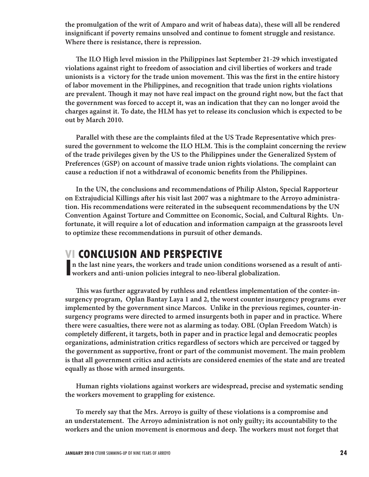**the promulgation of the writ of Amparo and writ of habeas data), these will all be rendered**  insignificant if poverty remains unsolved and continue to foment struggle and resistance. **Where there is resistance, there is repression.**

The ILO High level mission in the Philippines last September 21-29 which investigated **violations against right to freedom of association and civil liberties of workers and trade**  unionists is a victory for the trade union movement. This was the first in the entire history **of labor movement in the Philippines, and recognition that trade union rights violations**  are prevalent. Though it may not have real impact on the ground right now, but the fact that **the government was forced to accept it, was an indication that they can no longer avoid the charges against it. To date, the HLM has yet to release its conclusion which is expected to be out by March 2010.**

Parallel with these are the complaints filed at the US Trade Representative which pres**sured the government to welcome the ILO HLM. " is is the complaint concerning the review of the trade privileges given by the US to the Philippines under the Generalized System of**  Preferences (GSP) on account of massive trade union rights violations. The complaint can cause a reduction if not a withdrawal of economic benefits from the Philippines.

**In the UN, the conclusions and recommendations of Philip Alston, Special Rapporteur**  on Extrajudicial Killings after his visit last 2007 was a nightmare to the Arroyo administra**tion. His recommendations were reiterated in the subsequent recommendations by the UN Convention Against Torture and Committee on Economic, Social, and Cultural Rights. Unfortunate, it will require a lot of education and information campaign at the grassroots level to optimize these recommendations in pursuit of other demands.** 

# **VI CONCLUSION AND PERSPECTIVE**

INCRED STORE THIS LATE CHAPTER TO THE TRIST OF THE TRIST OF THE TRIST OF THE TRIST OF THE TRIST OF THE WORKERS and anti-union policies integral to neo-liberal globalization. **n the last nine years, the workers and trade union conditions worsened as a result of anti-**

**" is was further aggravated by ruthless and relentless implementation of the conter-insurgency program, Oplan Bantay Laya 1 and 2, the worst counter insurgency programs ever implemented by the government since Marcos. Unlike in the previous regimes, counter-insurgency programs were directed to armed insurgents both in paper and in practice. Where there were casualties, there were not as alarming as today. OBL (Oplan Freedom Watch) is**  completely different, it targets, both in paper and in practice legal and democratic peoples **organizations, administration critics regardless of sectors which are perceived or tagged by**  the government as supportive, front or part of the communist movement. The main problem **is that all government critics and activists are considered enemies of the state and are treated equally as those with armed insurgents.** 

**Human rights violations against workers are widespread, precise and systematic sending the workers movement to grappling for existence.**

**To merely say that the Mrs. Arroyo is guilty of these violations is a compromise and**  an understatement. The Arroyo administration is not only guilty; its accountability to the workers and the union movement is enormous and deep. The workers must not forget that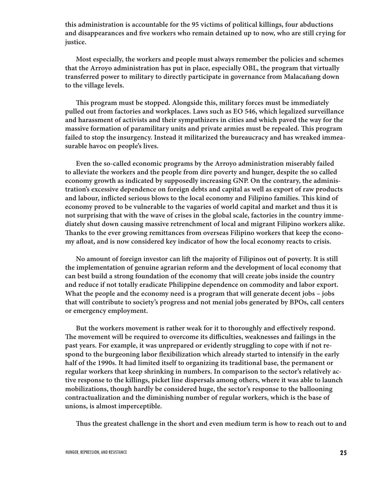**this administration is accountable for the 95 victims of political killings, four abductions**  and disappearances and five workers who remain detained up to now, who are still crying for **justice.**

**Most especially, the workers and people must always remember the policies and schemes that the Arroyo administration has put in place, especially OBL, the program that virtually transferred power to military to directly participate in governance from Malacañang down to the village levels.** 

**" is program must be stopped. Alongside this, military forces must be immediately pulled out from factories and workplaces. Laws such as EO 546, which legalized surveillance and harassment of activists and their sympathizers in cities and which paved the way for the**  massive formation of paramilitary units and private armies must be repealed. This program **failed to stop the insurgency. Instead it militarized the bureaucracy and has wreaked immeasurable havoc on people's lives.** 

**Even the so-called economic programs by the Arroyo administration miserably failed to alleviate the workers and the people from dire poverty and hunger, despite the so called economy growth as indicated by supposedly increasing GNP. On the contrary, the administration's excessive dependence on foreign debts and capital as well as export of raw products**  and labour, inflicted serious blows to the local economy and Filipino families. This kind of **economy proved to be vulnerable to the vagaries of world capital and market and thus it is not surprising that with the wave of crises in the global scale, factories in the country immediately shut down causing massive retrenchment of local and migrant Filipino workers alike.**  Thanks to the ever growing remittances from overseas Filipino workers that keep the economy afloat, and is now considered key indicator of how the local economy reacts to crisis.

No amount of foreign investor can lift the majority of Filipinos out of poverty. It is still **the implementation of genuine agrarian reform and the development of local economy that can best build a strong foundation of the economy that will create jobs inside the country and reduce if not totally eradicate Philippine dependence on commodity and labor export. What the people and the economy need is a program that will generate decent jobs – jobs that will contribute to society's progress and not menial jobs generated by BPOs, call centers or emergency employment.** 

But the workers movement is rather weak for it to thoroughly and effectively respond. The movement will be required to overcome its difficulties, weaknesses and failings in the **past years. For example, it was unprepared or evidently struggling to cope with if not re**spond to the burgeoning labor flexibilization which already started to intensify in the early **half of the 1990s. It had limited itself to organizing its traditional base, the permanent or regular workers that keep shrinking in numbers. In comparison to the sector's relatively active response to the killings, picket line dispersals among others, where it was able to launch mobilizations, though hardly be considered huge, the sector's response to the ballooning contractualization and the diminishing number of regular workers, which is the base of unions, is almost imperceptible.**

Thus the greatest challenge in the short and even medium term is how to reach out to and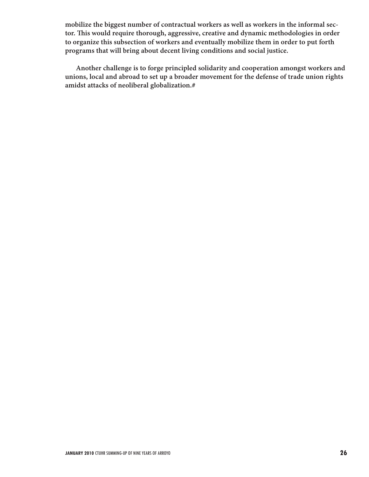**mobilize the biggest number of contractual workers as well as workers in the informal sec**tor. This would require thorough, aggressive, creative and dynamic methodologies in order **to organize this subsection of workers and eventually mobilize them in order to put forth programs that will bring about decent living conditions and social justice.**

**Another challenge is to forge principled solidarity and cooperation amongst workers and unions, local and abroad to set up a broader movement for the defense of trade union rights amidst attacks of neoliberal globalization.#**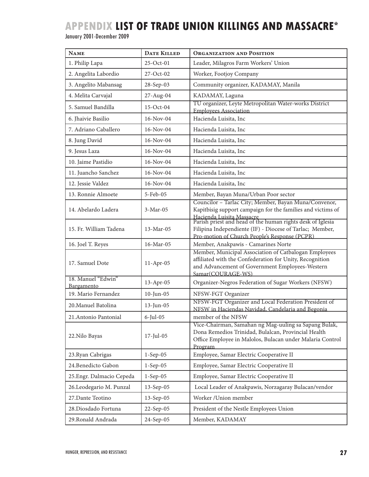# **APPENDIX LIST OF TRADE UNION KILLINGS AND MASSACRE\***

#### January 2001-December 2009

| <b>NAME</b>                       | <b>DATE KILLED</b> | <b>ORGANIZATION AND POSITION</b>                                                                                                                                                                     |
|-----------------------------------|--------------------|------------------------------------------------------------------------------------------------------------------------------------------------------------------------------------------------------|
| 1. Philip Lapa                    | 25-Oct-01          | Leader, Milagros Farm Workers' Union                                                                                                                                                                 |
| 2. Angelita Labordio              | $27-Oct-02$        | Worker, Footjoy Company                                                                                                                                                                              |
| 3. Angelito Mabansag              | 28-Sep-03          | Community organizer, KADAMAY, Manila                                                                                                                                                                 |
| 4. Melita Carvajal                | 27-Aug-04          | KADAMAY, Laguna                                                                                                                                                                                      |
| 5. Samuel Bandilla                | $15-Oct-04$        | TU organizer, Leyte Metropolitan Water-works District<br><b>Employees Association</b>                                                                                                                |
| 6. Jhaivie Basilio                | 16-Nov-04          | Hacienda Luisita, Inc                                                                                                                                                                                |
| 7. Adriano Caballero              | 16-Nov-04          | Hacienda Luisita, Inc                                                                                                                                                                                |
| 8. Jung David                     | 16-Nov-04          | Hacienda Luisita, Inc                                                                                                                                                                                |
| 9. Jesus Laza                     | 16-Nov-04          | Hacienda Luisita, Inc                                                                                                                                                                                |
| 10. Jaime Pastidio                | 16-Nov-04          | Hacienda Luisita, Inc                                                                                                                                                                                |
| 11. Juancho Sanchez               | 16-Nov-04          | Hacienda Luisita, Inc                                                                                                                                                                                |
| 12. Jessie Valdez                 | 16-Nov-04          | Hacienda Luisita, Inc                                                                                                                                                                                |
| 13. Ronnie Almoete                | 5-Feb-05           | Member, Bayan Muna/Urban Poor sector                                                                                                                                                                 |
| 14. Abelardo Ladera               | 3-Mar-05           | Councilor - Tarlac City; Member, Bayan Muna/Convenor,<br>Kapitbisig support campaign for the families and victims of                                                                                 |
| 15. Fr. William Tadena            | 13-Mar-05          | Hacienda Luisita Massacre<br>Parish priest and head of the human rights desk of Iglesia<br>Filipina Independiente (IF) - Diocese of Tarlac; Member,<br>Pro-motion of Church People's Response (PCPR) |
| 16. Joel T. Reyes                 | 16-Mar-05          | Member, Anakpawis - Camarines Norte                                                                                                                                                                  |
| 17. Samuel Dote                   | $11-Apr-05$        | Member, Municipal Association of Catbalogan Employees<br>affiliated with the Confederation for Unity, Recognition<br>and Advancement of Government Employees-Western<br>Samar(COURAGE-WS)            |
| 18. Manuel "Edwin"                | 13-Apr-05          | Organizer-Negros Federation of Sugar Workers (NFSW)                                                                                                                                                  |
| Bargamento<br>19. Mario Fernandez | $10$ -Jun-05       | NFSW-FGT Organizer                                                                                                                                                                                   |
| 20. Manuel Batolina               | 13-Jun-05          | NFSW-FGT Organizer and Local Federation President of<br>NFSW in Haciendas Navidad, Candelaria and Begonia                                                                                            |
| 21. Antonio Pantonial             | 6-Jul-05           | member of the NFSW                                                                                                                                                                                   |
| 22. Nilo Bayas                    | 17-Jul-05          | Vice-Chairman, Samahan ng Mag-uuling sa Sapang Bulak,<br>Dona Remedios Trinidad, Bulalcan, Provincial Health<br>Office Employee in Malolos, Bulacan under Malaria Control<br>Program                 |
| 23. Ryan Cabrigas                 | $1-Sep-05$         | Employee, Samar Electric Cooperative II                                                                                                                                                              |
| 24. Benedicto Gabon               | $1-Sep-05$         | Employee, Samar Electric Cooperative II                                                                                                                                                              |
| 25. Engr. Dalmacio Cepeda         | $1-Sep-05$         | Employee, Samar Electric Cooperative II                                                                                                                                                              |
| 26.Leodegario M. Punzal           | $13-Sep-05$        | Local Leader of Anakpawis, Norzagaray Bulacan/vendor                                                                                                                                                 |
| 27. Dante Teotino                 | $13-Sep-05$        | Worker / Union member                                                                                                                                                                                |
| 28.Diosdado Fortuna               | 22-Sep-05          | President of the Nestle Employees Union                                                                                                                                                              |
| 29. Ronald Andrada                | 24-Sep-05          | Member, KADAMAY                                                                                                                                                                                      |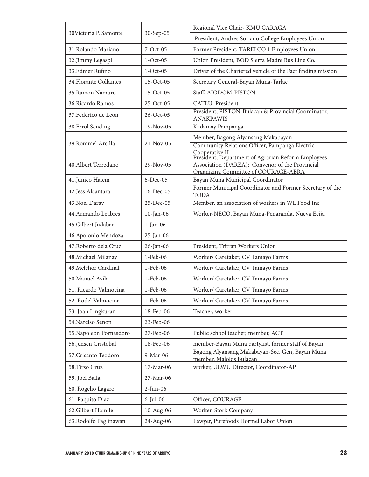| 30 Victoria P. Samonte  | 30-Sep-05   | Regional Vice Chair- KMU CARAGA                                                                |
|-------------------------|-------------|------------------------------------------------------------------------------------------------|
|                         |             | President, Andres Soriano College Employees Union                                              |
| 31.Rolando Mariano      | $7-Oct-05$  | Former President, TARELCO 1 Employees Union                                                    |
| 32.Jimmy Legaspi        | $1-Oct-05$  | Union President, BOD Sierra Madre Bus Line Co.                                                 |
| 33.Edmer Rufino         | $1-Oct-05$  | Driver of the Chartered vehicle of the Fact finding mission                                    |
| 34. Florante Collantes  | $15-Oct-05$ | Secretary General-Bayan Muna-Tarlac                                                            |
| 35.Ramon Namuro         | $15-Oct-05$ | Staff, AJODOM-PISTON                                                                           |
| 36. Ricardo Ramos       | $25-Oct-05$ | <b>CATLU</b> President                                                                         |
| 37. Federico de Leon    | 26-Oct-05   | President, PISTON-Bulacan & Provincial Coordinator,<br><b>ANAKPAWIS</b>                        |
| 38.Errol Sending        | 19-Nov-05   | Kadamay Pampanga                                                                               |
|                         |             | Member, Bagong Alyansang Makabayan                                                             |
| 39. Rommel Arcilla      | $21-Nov-05$ | Community Relations Officer, Pampanga Electric<br>Cooperative II                               |
|                         |             | President, Department of Agrarian Reform Employees                                             |
| 40. Albert Terredaño    | 29-Nov-05   | Association (DAREA); Convenor of the Provincial<br><b>Organizing Committee of COURAGE-ABRA</b> |
| 41.Junico Halem         | $6-Dec-05$  | Bayan Muna Municipal Coordinator                                                               |
| 42.Jess Alcantara       | 16-Dec-05   | Former Municipal Coordinator and Former Secretary of the<br><b>TODA</b>                        |
| 43. Noel Daray          | 25-Dec-05   | Member, an association of workers in WL Food Inc                                               |
| 44.Armando Leabres      | 10-Jan-06   | Worker-NECO, Bayan Muna-Penaranda, Nueva Ecija                                                 |
| 45.Gilbert Judabar      | $1$ -Jan-06 |                                                                                                |
| 46. Apolonio Mendoza    | 25-Jan-06   |                                                                                                |
| 47. Roberto dela Cruz   | 26-Jan-06   | President, Tritran Workers Union                                                               |
| 48. Michael Milanay     | 1-Feb-06    | Worker/ Caretaker, CV Tamayo Farms                                                             |
| 49. Melchor Cardinal    | 1-Feb-06    | Worker/ Caretaker, CV Tamayo Farms                                                             |
| 50. Manuel Avila        | $1-Feb-06$  | Worker/ Caretaker, CV Tamayo Farms                                                             |
| 51. Ricardo Valmocina   | 1-Feb-06    | Worker/ Caretaker, CV Tamayo Farms                                                             |
| 52. Rodel Valmocina     | 1-Feb-06    | Worker/ Caretaker, CV Tamayo Farms                                                             |
| 53. Joan Lingkuran      | 18-Feb-06   | Teacher, worker                                                                                |
| 54. Narciso Senon       | 23-Feb-06   |                                                                                                |
| 55. Napoleon Pornasdoro | 27-Feb-06   | Public school teacher, member, ACT                                                             |
| 56.Jensen Cristobal     | 18-Feb-06   | member-Bayan Muna partylist, former staff of Bayan                                             |
| 57. Crisanto Teodoro    | 9-Mar-06    | Bagong Alyansang Makabayan-Sec. Gen, Bayan Muna<br>member, Malolos Bulacan                     |
| 58.Tirso Cruz           | 17-Mar-06   | worker, ULWU Director, Coordinator-AP                                                          |
| 59. Joel Balla          | 27-Mar-06   |                                                                                                |
| 60. Rogelio Lagaro      | $2-Jun-06$  |                                                                                                |
| 61. Paquito Diaz        | $6$ -Jul-06 | Officer, COURAGE                                                                               |
| 62. Gilbert Hamile      | 10-Aug-06   | Worker, Stork Company                                                                          |
| 63. Rodolfo Paglinawan  | 24-Aug-06   | Lawyer, Purefoods Hormel Labor Union                                                           |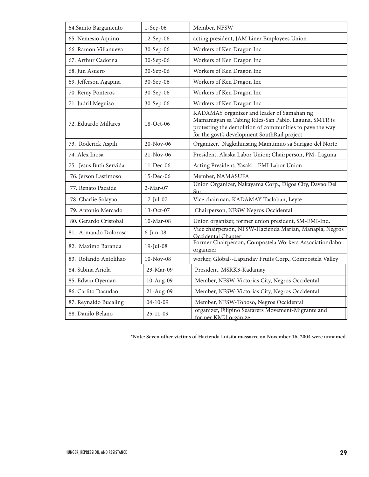| 64. Sanito Bargamento  | $1-Sep-06$     | Member, NFSW                                                                                                                                                                                                   |
|------------------------|----------------|----------------------------------------------------------------------------------------------------------------------------------------------------------------------------------------------------------------|
| 65. Nemesio Aquino     | 12-Sep-06      | acting president, JAM Liner Employees Union                                                                                                                                                                    |
| 66. Ramon Villanueva   | 30-Sep-06      | Workers of Ken Dragon Inc                                                                                                                                                                                      |
| 67. Arthur Cadorna     | 30-Sep-06      | Workers of Ken Dragon Inc                                                                                                                                                                                      |
| 68. Jun Asuero         | 30-Sep-06      | Workers of Ken Dragon Inc                                                                                                                                                                                      |
| 69. Jefferson Agapina  | 30-Sep-06      | Workers of Ken Dragon Inc                                                                                                                                                                                      |
| 70. Remy Ponteros      | 30-Sep-06      | Workers of Ken Dragon Inc                                                                                                                                                                                      |
| 71. Judril Meguiso     | 30-Sep-06      | Workers of Ken Dragon Inc                                                                                                                                                                                      |
| 72. Eduardo Millares   | 18-Oct-06      | KADAMAY organizer and leader of Samahan ng<br>Mamamayan sa Tabing Riles-San Pablo, Laguna. SMTR is<br>protesting the demolition of communities to pave the way<br>for the govt's development SouthRail project |
| 73. Roderick Aspili    | 20-Nov-06      | Organizer, Nagkahiusang Mamumuo sa Surigao del Norte                                                                                                                                                           |
| 74. Alex Inosa         | $21-Nov-06$    | President, Alaska Labor Union; Chairperson, PM- Laguna                                                                                                                                                         |
| 75. Jesus Buth Servida | 11-Dec-06      | Acting President, Yasaki - EMI Labor Union                                                                                                                                                                     |
| 76. Jerson Lastimoso   | 15-Dec-06      | Member, NAMASUFA                                                                                                                                                                                               |
| 77. Renato Pacaide     | $2-Mar-07$     | Union Organizer, Nakayama Corp., Digos City, Davao Del<br>Sur                                                                                                                                                  |
| 78. Charlie Solayao    | $17$ -Jul-07   | Vice chairman, KADAMAY Tacloban, Leyte                                                                                                                                                                         |
| 79. Antonio Mercado    | 13-Oct-07      | Chairperson, NFSW Negros Occidental                                                                                                                                                                            |
| 80. Gerardo Cristobal  | $10-Mar-08$    | Union organizer, former union president, SM-EMI-Ind.                                                                                                                                                           |
| 81. Armando Dolorosa   | $6$ -Jun-08    | Vice chairperson, NFSW-Hacienda Marian, Manapla, Negros<br>Occidental Chapter                                                                                                                                  |
| 82. Maximo Baranda     | 19-Jul-08      | Former Chairperson, Compostela Workers Association/labor<br>organizer                                                                                                                                          |
| 83. Rolando Antolihao  | $10-Nov-08$    | worker, Global--Lapanday Fruits Corp., Compostela Valley                                                                                                                                                       |
| 84. Sabina Ariola      | 23-Mar-09      | President, MSRK3-Kadamay                                                                                                                                                                                       |
| 85. Edwin Oyeman       | 10-Aug-09      | Member, NFSW-Victorias City, Negros Occidental                                                                                                                                                                 |
| 86. Carlito Dacudao    | 21-Aug-09      | Member, NFSW-Victorias City, Negros Occidental                                                                                                                                                                 |
| 87. Reynaldo Bucaling  | $04 - 10 - 09$ | Member, NFSW-Toboso, Negros Occidental                                                                                                                                                                         |
| 88. Danilo Belano      | $25 - 11 - 09$ | organizer, Filipino Seafarers Movement-Migrante and<br>former KMU organizer                                                                                                                                    |

**\*Note: Seven other victims of Hacienda Luisita massacre on November 16, 2004 were unnamed.**